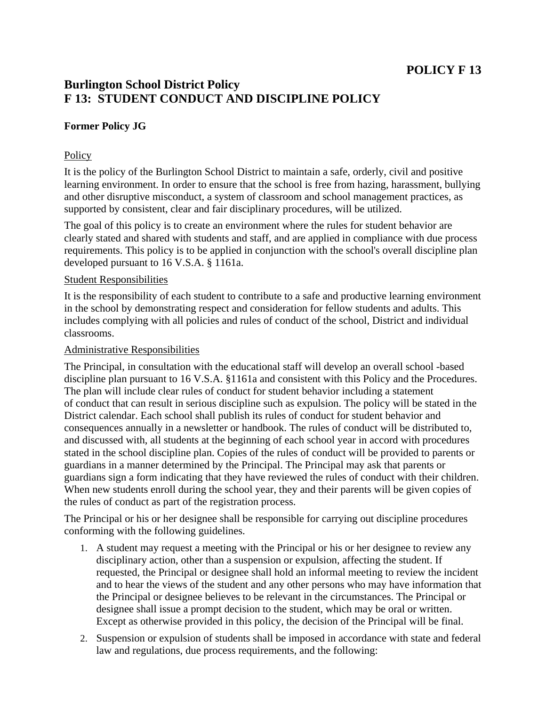# **POLICY F 13**

## **Burlington School District Policy F 13: STUDENT CONDUCT AND DISCIPLINE POLICY**

## **Former Policy JG**

### **Policy**

It is the policy of the Burlington School District to maintain a safe, orderly, civil and positive learning environment. In order to ensure that the school is free from hazing, harassment, bullying and other disruptive misconduct, a system of classroom and school management practices, as supported by consistent, clear and fair disciplinary procedures, will be utilized.

The goal of this policy is to create an environment where the rules for student behavior are clearly stated and shared with students and staff, and are applied in compliance with due process requirements. This policy is to be applied in conjunction with the school's overall discipline plan developed pursuant to 16 V.S.A. § 1161a.

#### Student Responsibilities

It is the responsibility of each student to contribute to a safe and productive learning environment in the school by demonstrating respect and consideration for fellow students and adults. This includes complying with all policies and rules of conduct of the school, District and individual classrooms.

#### Administrative Responsibilities

The Principal, in consultation with the educational staff will develop an overall school -based discipline plan pursuant to 16 V.S.A. §1161a and consistent with this Policy and the Procedures. The plan will include clear rules of conduct for student behavior including a statement of conduct that can result in serious discipline such as expulsion. The policy will be stated in the District calendar. Each school shall publish its rules of conduct for student behavior and consequences annually in a newsletter or handbook. The rules of conduct will be distributed to, and discussed with, all students at the beginning of each school year in accord with procedures stated in the school discipline plan. Copies of the rules of conduct will be provided to parents or guardians in a manner determined by the Principal. The Principal may ask that parents or guardians sign a form indicating that they have reviewed the rules of conduct with their children. When new students enroll during the school year, they and their parents will be given copies of the rules of conduct as part of the registration process.

The Principal or his or her designee shall be responsible for carrying out discipline procedures conforming with the following guidelines.

- 1. A student may request a meeting with the Principal or his or her designee to review any disciplinary action, other than a suspension or expulsion, affecting the student. If requested, the Principal or designee shall hold an informal meeting to review the incident and to hear the views of the student and any other persons who may have information that the Principal or designee believes to be relevant in the circumstances. The Principal or designee shall issue a prompt decision to the student, which may be oral or written. Except as otherwise provided in this policy, the decision of the Principal will be final.
- 2. Suspension or expulsion of students shall be imposed in accordance with state and federal law and regulations, due process requirements, and the following: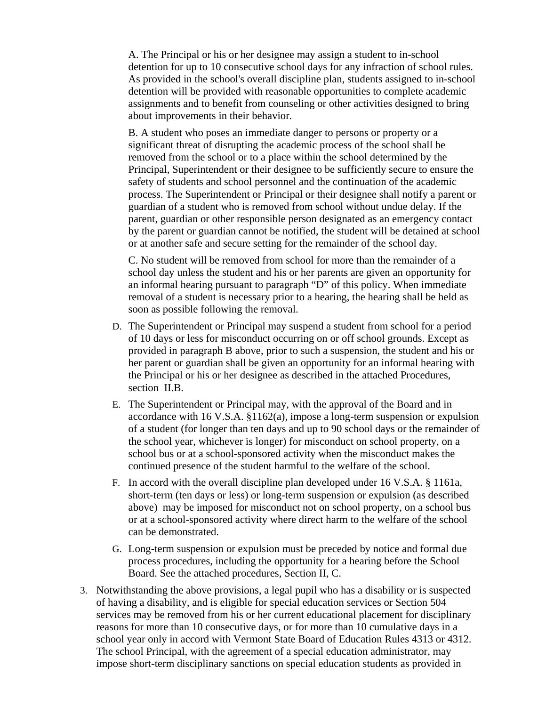A. The Principal or his or her designee may assign a student to in-school detention for up to 10 consecutive school days for any infraction of school rules. As provided in the school's overall discipline plan, students assigned to in-school detention will be provided with reasonable opportunities to complete academic assignments and to benefit from counseling or other activities designed to bring about improvements in their behavior.

B. A student who poses an immediate danger to persons or property or a significant threat of disrupting the academic process of the school shall be removed from the school or to a place within the school determined by the Principal, Superintendent or their designee to be sufficiently secure to ensure the safety of students and school personnel and the continuation of the academic process. The Superintendent or Principal or their designee shall notify a parent or guardian of a student who is removed from school without undue delay. If the parent, guardian or other responsible person designated as an emergency contact by the parent or guardian cannot be notified, the student will be detained at school or at another safe and secure setting for the remainder of the school day.

C. No student will be removed from school for more than the remainder of a school day unless the student and his or her parents are given an opportunity for an informal hearing pursuant to paragraph "D" of this policy. When immediate removal of a student is necessary prior to a hearing, the hearing shall be held as soon as possible following the removal.

- D. The Superintendent or Principal may suspend a student from school for a period of 10 days or less for misconduct occurring on or off school grounds. Except as provided in paragraph B above, prior to such a suspension, the student and his or her parent or guardian shall be given an opportunity for an informal hearing with the Principal or his or her designee as described in the attached Procedures, section II.B.
- E. The Superintendent or Principal may, with the approval of the Board and in accordance with 16 V.S.A. §1162(a), impose a long-term suspension or expulsion of a student (for longer than ten days and up to 90 school days or the remainder of the school year, whichever is longer) for misconduct on school property, on a school bus or at a school-sponsored activity when the misconduct makes the continued presence of the student harmful to the welfare of the school.
- F. In accord with the overall discipline plan developed under 16 V.S.A. § 1161a, short-term (ten days or less) or long-term suspension or expulsion (as described above) may be imposed for misconduct not on school property, on a school bus or at a school-sponsored activity where direct harm to the welfare of the school can be demonstrated.
- G. Long-term suspension or expulsion must be preceded by notice and formal due process procedures, including the opportunity for a hearing before the School Board. See the attached procedures, Section II, C.
- 3. Notwithstanding the above provisions, a legal pupil who has a disability or is suspected of having a disability, and is eligible for special education services or Section 504 services may be removed from his or her current educational placement for disciplinary reasons for more than 10 consecutive days, or for more than 10 cumulative days in a school year only in accord with Vermont State Board of Education Rules 4313 or 4312. The school Principal, with the agreement of a special education administrator, may impose short-term disciplinary sanctions on special education students as provided in